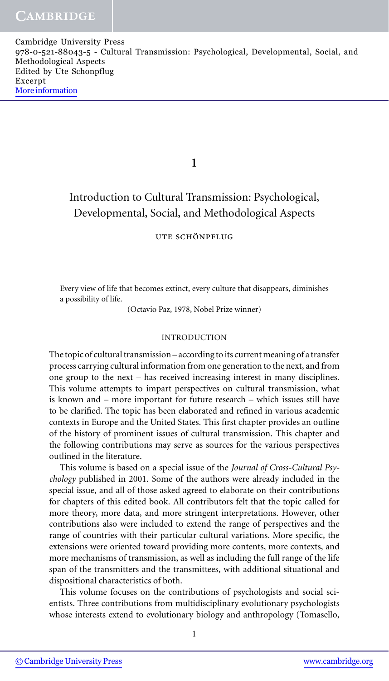**1**

# Introduction to Cultural Transmission: Psychological, Developmental, Social, and Methodological Aspects

# UTE SCHÖNPFLUG

Every view of life that becomes extinct, every culture that disappears, diminishes a possibility of life.

(Octavio Paz, 1978, Nobel Prize winner)

#### INTRODUCTION

The topic of cultural transmission – according to its current meaning of a transfer process carrying cultural information from one generation to the next, and from one group to the next – has received increasing interest in many disciplines. This volume attempts to impart perspectives on cultural transmission, what is known and – more important for future research – which issues still have to be clarified. The topic has been elaborated and refined in various academic contexts in Europe and the United States. This first chapter provides an outline of the history of prominent issues of cultural transmission. This chapter and the following contributions may serve as sources for the various perspectives outlined in the literature.

This volume is based on a special issue of the *Journal of Cross-Cultural Psychology* published in 2001. Some of the authors were already included in the special issue, and all of those asked agreed to elaborate on their contributions for chapters of this edited book. All contributors felt that the topic called for more theory, more data, and more stringent interpretations. However, other contributions also were included to extend the range of perspectives and the range of countries with their particular cultural variations. More specific, the extensions were oriented toward providing more contents, more contexts, and more mechanisms of transmission, as well as including the full range of the life span of the transmitters and the transmittees, with additional situational and dispositional characteristics of both.

This volume focuses on the contributions of psychologists and social scientists. Three contributions from multidisciplinary evolutionary psychologists whose interests extend to evolutionary biology and anthropology (Tomasello,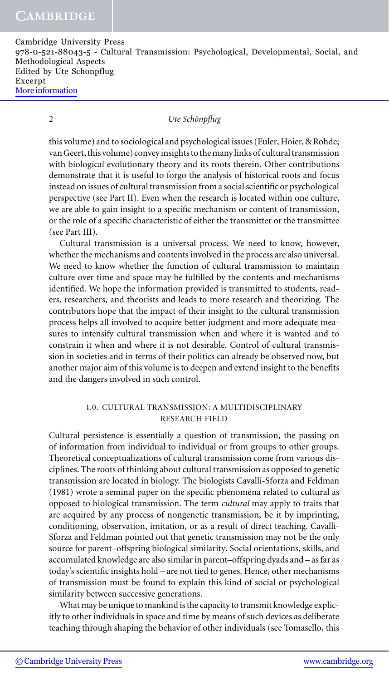2 *Ute Schönpflug* 

this volume) and to sociological and psychological issues (Euler, Hoier, & Rohde; van Geert, this volume) conveyinsights to themany links of cultural transmission with biological evolutionary theory and its roots therein. Other contributions demonstrate that it is useful to forgo the analysis of historical roots and focus instead on issues of cultural transmission from a social scientific or psychological perspective (see Part II). Even when the research is located within one culture, we are able to gain insight to a specific mechanism or content of transmission, or the role of a specific characteristic of either the transmitter or the transmittee (see Part III).

Cultural transmission is a universal process. We need to know, however, whether the mechanisms and contents involved in the process are also universal. We need to know whether the function of cultural transmission to maintain culture over time and space may be fulfilled by the contents and mechanisms identified. We hope the information provided is transmitted to students, readers, researchers, and theorists and leads to more research and theorizing. The contributors hope that the impact of their insight to the cultural transmission process helps all involved to acquire better judgment and more adequate measures to intensify cultural transmission when and where it is wanted and to constrain it when and where it is not desirable. Control of cultural transmission in societies and in terms of their politics can already be observed now, but another major aim of this volume is to deepen and extend insight to the benefits and the dangers involved in such control.

# 1.0. CULTURAL TRANSMISSION: A MULTIDISCIPLINARY RESEARCH FIELD

Cultural persistence is essentially a question of transmission, the passing on of information from individual to individual or from groups to other groups. Theoretical conceptualizations of cultural transmission come from various disciplines. The roots of thinking about cultural transmission as opposed to genetic transmission are located in biology. The biologists Cavalli-Sforza and Feldman (1981) wrote a seminal paper on the specific phenomena related to cultural as opposed to biological transmission. The term *cultural* may apply to traits that are acquired by any process of nongenetic transmission, be it by imprinting, conditioning, observation, imitation, or as a result of direct teaching. Cavalli-Sforza and Feldman pointed out that genetic transmission may not be the only source for parent–offspring biological similarity. Social orientations, skills, and accumulated knowledge are also similar in parent–offspring dyads and – as far as today's scientific insights hold – are not tied to genes. Hence, other mechanisms of transmission must be found to explain this kind of social or psychological similarity between successive generations.

What may be unique to mankind is the capacity to transmit knowledge explicitly to other individuals in space and time by means of such devices as deliberate teaching through shaping the behavior of other individuals (see Tomasello, this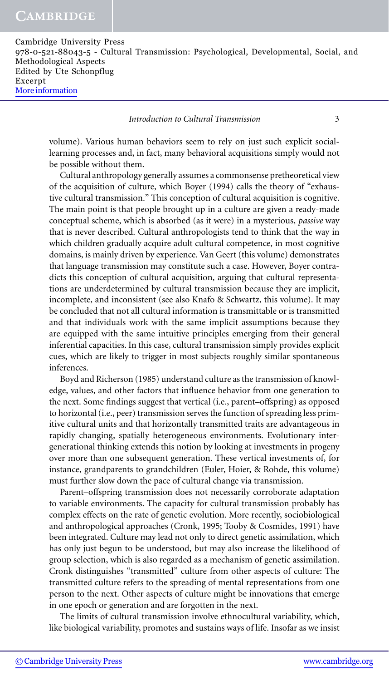#### *Introduction to Cultural Transmission* 3

volume). Various human behaviors seem to rely on just such explicit sociallearning processes and, in fact, many behavioral acquisitions simply would not be possible without them.

Cultural anthropology generally assumes a commonsense pretheoretical view of the acquisition of culture, which Boyer (1994) calls the theory of "exhaustive cultural transmission." This conception of cultural acquisition is cognitive. The main point is that people brought up in a culture are given a ready-made conceptual scheme, which is absorbed (as it were) in a mysterious, *passive* way that is never described. Cultural anthropologists tend to think that the way in which children gradually acquire adult cultural competence, in most cognitive domains, is mainly driven by experience. Van Geert (this volume) demonstrates that language transmission may constitute such a case. However, Boyer contradicts this conception of cultural acquisition, arguing that cultural representations are underdetermined by cultural transmission because they are implicit, incomplete, and inconsistent (see also Knafo & Schwartz, this volume). It may be concluded that not all cultural information is transmittable or is transmitted and that individuals work with the same implicit assumptions because they are equipped with the same intuitive principles emerging from their general inferential capacities. In this case, cultural transmission simply provides explicit cues, which are likely to trigger in most subjects roughly similar spontaneous inferences.

Boyd and Richerson (1985) understand culture as the transmission of knowledge, values, and other factors that influence behavior from one generation to the next. Some findings suggest that vertical (i.e., parent–offspring) as opposed to horizontal (i.e., peer) transmission serves the function of spreading less primitive cultural units and that horizontally transmitted traits are advantageous in rapidly changing, spatially heterogeneous environments. Evolutionary intergenerational thinking extends this notion by looking at investments in progeny over more than one subsequent generation. These vertical investments of, for instance, grandparents to grandchildren (Euler, Hoier, & Rohde, this volume) must further slow down the pace of cultural change via transmission.

Parent–offspring transmission does not necessarily corroborate adaptation to variable environments. The capacity for cultural transmission probably has complex effects on the rate of genetic evolution. More recently, sociobiological and anthropological approaches (Cronk, 1995; Tooby & Cosmides, 1991) have been integrated. Culture may lead not only to direct genetic assimilation, which has only just begun to be understood, but may also increase the likelihood of group selection, which is also regarded as a mechanism of genetic assimilation. Cronk distinguishes "transmitted" culture from other aspects of culture: The transmitted culture refers to the spreading of mental representations from one person to the next. Other aspects of culture might be innovations that emerge in one epoch or generation and are forgotten in the next.

The limits of cultural transmission involve ethnocultural variability, which, like biological variability, promotes and sustains ways of life. Insofar as we insist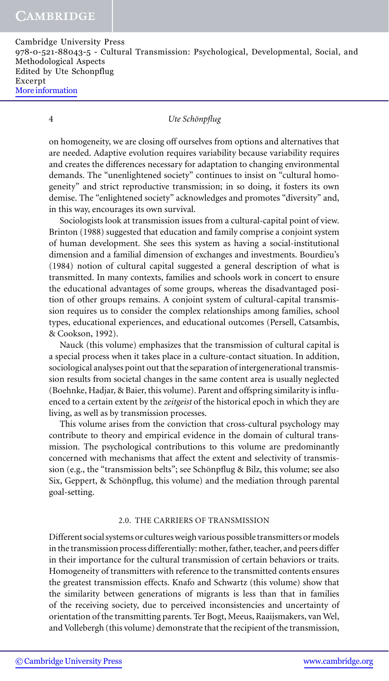## 4 *Ute Schonpflug ¨*

on homogeneity, we are closing off ourselves from options and alternatives that are needed. Adaptive evolution requires variability because variability requires and creates the differences necessary for adaptation to changing environmental demands. The "unenlightened society" continues to insist on "cultural homogeneity" and strict reproductive transmission; in so doing, it fosters its own demise. The "enlightened society" acknowledges and promotes "diversity" and, in this way, encourages its own survival.

Sociologists look at transmission issues from a cultural-capital point of view. Brinton (1988) suggested that education and family comprise a conjoint system of human development. She sees this system as having a social-institutional dimension and a familial dimension of exchanges and investments. Bourdieu's (1984) notion of cultural capital suggested a general description of what is transmitted. In many contexts, families and schools work in concert to ensure the educational advantages of some groups, whereas the disadvantaged position of other groups remains. A conjoint system of cultural-capital transmission requires us to consider the complex relationships among families, school types, educational experiences, and educational outcomes (Persell, Catsambis, & Cookson, 1992).

Nauck (this volume) emphasizes that the transmission of cultural capital is a special process when it takes place in a culture-contact situation. In addition, sociological analyses point out that the separation of intergenerational transmission results from societal changes in the same content area is usually neglected (Boehnke, Hadjar, & Baier, this volume). Parent and offspring similarity is influenced to a certain extent by the *zeitgeist* of the historical epoch in which they are living, as well as by transmission processes.

This volume arises from the conviction that cross-cultural psychology may contribute to theory and empirical evidence in the domain of cultural transmission. The psychological contributions to this volume are predominantly concerned with mechanisms that affect the extent and selectivity of transmission (e.g., the "transmission belts"; see Schönpflug & Bilz, this volume; see also Six, Geppert, & Schönpflug, this volume) and the mediation through parental goal-setting.

## 2.0. THE CARRIERS OF TRANSMISSION

Different social systems or culturesweigh various possible transmitters ormodels in the transmission process differentially: mother, father, teacher, and peers differ in their importance for the cultural transmission of certain behaviors or traits. Homogeneity of transmitters with reference to the transmitted contents ensures the greatest transmission effects. Knafo and Schwartz (this volume) show that the similarity between generations of migrants is less than that in families of the receiving society, due to perceived inconsistencies and uncertainty of orientation of the transmitting parents. Ter Bogt, Meeus, Raaijsmakers, van Wel, and Vollebergh (this volume) demonstrate that the recipient of the transmission,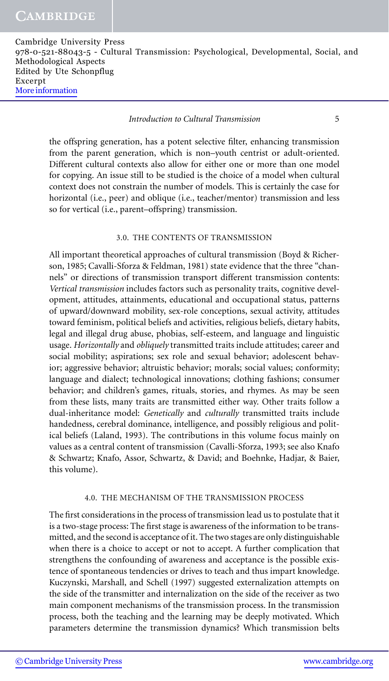# *Introduction to Cultural Transmission* 5

the offspring generation, has a potent selective filter, enhancing transmission from the parent generation, which is non–youth centrist or adult-oriented. Different cultural contexts also allow for either one or more than one model for copying. An issue still to be studied is the choice of a model when cultural context does not constrain the number of models. This is certainly the case for horizontal (i.e., peer) and oblique (i.e., teacher/mentor) transmission and less so for vertical (i.e., parent–offspring) transmission.

# 3.0. THE CONTENTS OF TRANSMISSION

All important theoretical approaches of cultural transmission (Boyd & Richerson, 1985; Cavalli-Sforza & Feldman, 1981) state evidence that the three "channels" or directions of transmission transport different transmission contents: *Vertical transmission* includes factors such as personality traits, cognitive development, attitudes, attainments, educational and occupational status, patterns of upward/downward mobility, sex-role conceptions, sexual activity, attitudes toward feminism, political beliefs and activities, religious beliefs, dietary habits, legal and illegal drug abuse, phobias, self-esteem, and language and linguistic usage. *Horizontally* and *obliquely* transmitted traits include attitudes; career and social mobility; aspirations; sex role and sexual behavior; adolescent behavior; aggressive behavior; altruistic behavior; morals; social values; conformity; language and dialect; technological innovations; clothing fashions; consumer behavior; and children's games, rituals, stories, and rhymes. As may be seen from these lists, many traits are transmitted either way. Other traits follow a dual-inheritance model: *Genetically* and *culturally* transmitted traits include handedness, cerebral dominance, intelligence, and possibly religious and political beliefs (Laland, 1993). The contributions in this volume focus mainly on values as a central content of transmission (Cavalli-Sforza, 1993; see also Knafo & Schwartz; Knafo, Assor, Schwartz, & David; and Boehnke, Hadjar, & Baier, this volume).

# 4.0. THE MECHANISM OF THE TRANSMISSION PROCESS

The first considerations in the process of transmission lead us to postulate that it is a two-stage process: The first stage is awareness of the information to be transmitted, and the second is acceptance of it. The two stages are only distinguishable when there is a choice to accept or not to accept. A further complication that strengthens the confounding of awareness and acceptance is the possible existence of spontaneous tendencies or drives to teach and thus impart knowledge. Kuczynski, Marshall, and Schell (1997) suggested externalization attempts on the side of the transmitter and internalization on the side of the receiver as two main component mechanisms of the transmission process. In the transmission process, both the teaching and the learning may be deeply motivated. Which parameters determine the transmission dynamics? Which transmission belts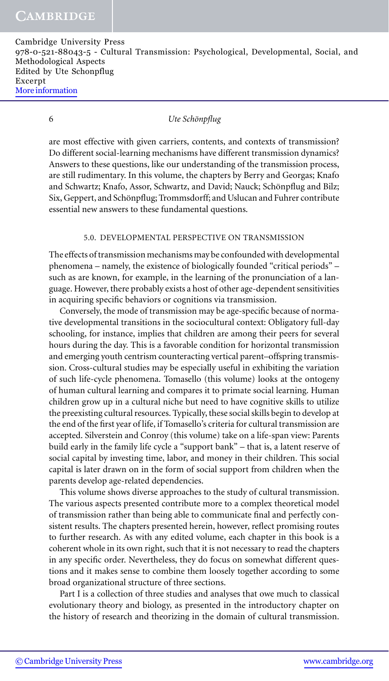6 *Ute Schonpflug ¨*

are most effective with given carriers, contents, and contexts of transmission? Do different social-learning mechanisms have different transmission dynamics? Answers to these questions, like our understanding of the transmission process, are still rudimentary. In this volume, the chapters by Berry and Georgas; Knafo and Schwartz; Knafo, Assor, Schwartz, and David; Nauck; Schönpflug and Bilz; Six, Geppert, and Schönpflug; Trommsdorff; and Uslucan and Fuhrer contribute essential new answers to these fundamental questions.

### 5.0. DEVELOPMENTAL PERSPECTIVE ON TRANSMISSION

The effects of transmission mechanisms may be confounded with developmental phenomena – namely, the existence of biologically founded "critical periods" – such as are known, for example, in the learning of the pronunciation of a language. However, there probably exists a host of other age-dependent sensitivities in acquiring specific behaviors or cognitions via transmission.

Conversely, the mode of transmission may be age-specific because of normative developmental transitions in the sociocultural context: Obligatory full-day schooling, for instance, implies that children are among their peers for several hours during the day. This is a favorable condition for horizontal transmission and emerging youth centrism counteracting vertical parent–offspring transmission. Cross-cultural studies may be especially useful in exhibiting the variation of such life-cycle phenomena. Tomasello (this volume) looks at the ontogeny of human cultural learning and compares it to primate social learning. Human children grow up in a cultural niche but need to have cognitive skills to utilize the preexisting cultural resources. Typically, these social skills begin to develop at the end of the first year of life, if Tomasello's criteria for cultural transmission are accepted. Silverstein and Conroy (this volume) take on a life-span view: Parents build early in the family life cycle a "support bank" – that is, a latent reserve of social capital by investing time, labor, and money in their children. This social capital is later drawn on in the form of social support from children when the parents develop age-related dependencies.

This volume shows diverse approaches to the study of cultural transmission. The various aspects presented contribute more to a complex theoretical model of transmission rather than being able to communicate final and perfectly consistent results. The chapters presented herein, however, reflect promising routes to further research. As with any edited volume, each chapter in this book is a coherent whole in its own right, such that it is not necessary to read the chapters in any specific order. Nevertheless, they do focus on somewhat different questions and it makes sense to combine them loosely together according to some broad organizational structure of three sections.

Part I is a collection of three studies and analyses that owe much to classical evolutionary theory and biology, as presented in the introductory chapter on the history of research and theorizing in the domain of cultural transmission.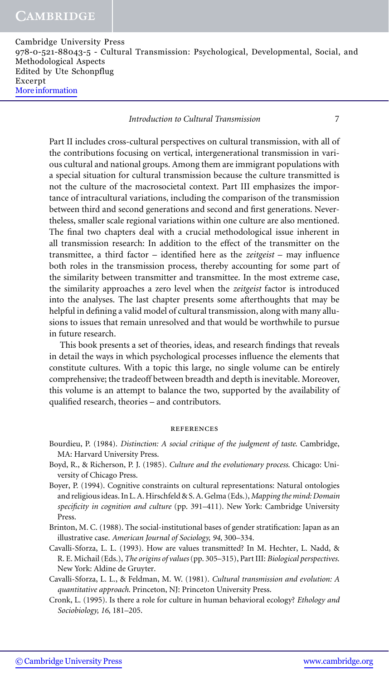*Introduction to Cultural Transmission* 7

Part II includes cross-cultural perspectives on cultural transmission, with all of the contributions focusing on vertical, intergenerational transmission in various cultural and national groups. Among them are immigrant populations with a special situation for cultural transmission because the culture transmitted is not the culture of the macrosocietal context. Part III emphasizes the importance of intracultural variations, including the comparison of the transmission between third and second generations and second and first generations. Nevertheless, smaller scale regional variations within one culture are also mentioned. The final two chapters deal with a crucial methodological issue inherent in all transmission research: In addition to the effect of the transmitter on the transmittee, a third factor – identified here as the *zeitgeist* – may influence both roles in the transmission process, thereby accounting for some part of the similarity between transmitter and transmittee. In the most extreme case, the similarity approaches a zero level when the *zeitgeist* factor is introduced into the analyses. The last chapter presents some afterthoughts that may be helpful in defining a valid model of cultural transmission, along with many allusions to issues that remain unresolved and that would be worthwhile to pursue in future research.

This book presents a set of theories, ideas, and research findings that reveals in detail the ways in which psychological processes influence the elements that constitute cultures. With a topic this large, no single volume can be entirely comprehensive; the tradeoff between breadth and depth is inevitable. Moreover, this volume is an attempt to balance the two, supported by the availability of qualified research, theories – and contributors.

#### references

- Bourdieu, P. (1984). *Distinction: A social critique of the judgment of taste*. Cambridge, MA: Harvard University Press.
- Boyd, R., & Richerson, P. J. (1985). *Culture and the evolutionary process*. Chicago: University of Chicago Press.
- Boyer, P. (1994). Cognitive constraints on cultural representations: Natural ontologies and religious ideas. In L. A. Hirschfeld & S. A. Gelma (Eds.),*Mappingthe mind: Domain specificity in cognition and culture* (pp. 391–411). New York: Cambridge University Press.
- Brinton, M. C. (1988). The social-institutional bases of gender stratification: Japan as an illustrative case. *American Journal of Sociology, 94*, 300–334.
- Cavalli-Sforza, L. L. (1993). How are values transmitted? In M. Hechter, L. Nadd, & R. E. Michail (Eds.), *The origins of values*(pp. 305–315), Part III: *Biological perspectives*. New York: Aldine de Gruyter.
- Cavalli-Sforza, L. L., & Feldman, M. W. (1981). *Cultural transmission and evolution: A quantitative approach*. Princeton, NJ: Princeton University Press.
- Cronk, L. (1995). Is there a role for culture in human behavioral ecology? *Ethology and Sociobiology, 16*, 181–205.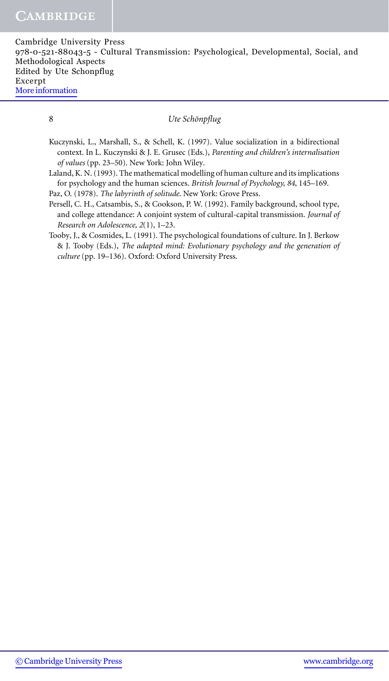# 8 *Ute Schönpflug*

Kuczynski, L., Marshall, S., & Schell, K. (1997). Value socialization in a bidirectional context. In L. Kuczynski & J. E. Grusec (Eds.), *Parenting and children's internalisation of values* (pp. 23–50). New York: John Wiley.

Laland, K. N. (1993). The mathematical modelling of human culture and its implications for psychology and the human sciences. *British Journal of Psychology, 84*, 145–169. Paz, O. (1978). *The labyrinth of solitude*. New York: Grove Press.

Persell, C. H., Catsambis, S., & Cookson, P. W. (1992). Family background, school type, and college attendance: A conjoint system of cultural-capital transmission. *Journal of Research on Adolescence, 2*(1), 1–23.

Tooby, J., & Cosmides, L. (1991). The psychological foundations of culture. In J. Berkow & J. Tooby (Eds.), *The adapted mind: Evolutionary psychology and the generation of culture* (pp. 19–136). Oxford: Oxford University Press.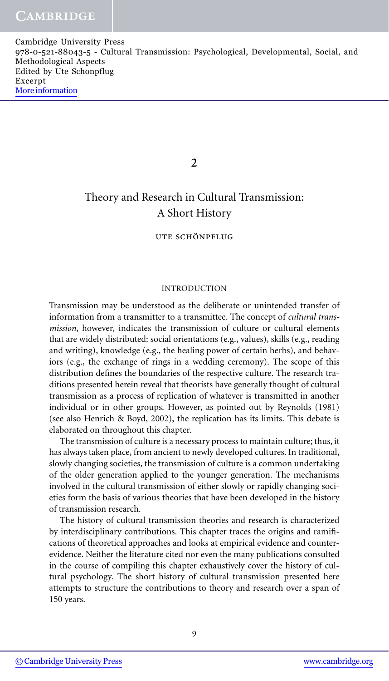**2**

# Theory and Research in Cultural Transmission: A Short History

### UTE SCHÖNPFLUG

#### INTRODUCTION

Transmission may be understood as the deliberate or unintended transfer of information from a transmitter to a transmittee. The concept of *cultural transmission*, however, indicates the transmission of culture or cultural elements that are widely distributed: social orientations (e.g., values), skills (e.g., reading and writing), knowledge (e.g., the healing power of certain herbs), and behaviors (e.g., the exchange of rings in a wedding ceremony). The scope of this distribution defines the boundaries of the respective culture. The research traditions presented herein reveal that theorists have generally thought of cultural transmission as a process of replication of whatever is transmitted in another individual or in other groups. However, as pointed out by Reynolds (1981) (see also Henrich & Boyd, 2002), the replication has its limits. This debate is elaborated on throughout this chapter.

The transmission of culture is a necessary process to maintain culture; thus, it has always taken place, from ancient to newly developed cultures. In traditional, slowly changing societies, the transmission of culture is a common undertaking of the older generation applied to the younger generation. The mechanisms involved in the cultural transmission of either slowly or rapidly changing societies form the basis of various theories that have been developed in the history of transmission research.

The history of cultural transmission theories and research is characterized by interdisciplinary contributions. This chapter traces the origins and ramifications of theoretical approaches and looks at empirical evidence and counterevidence. Neither the literature cited nor even the many publications consulted in the course of compiling this chapter exhaustively cover the history of cultural psychology. The short history of cultural transmission presented here attempts to structure the contributions to theory and research over a span of 150 years.